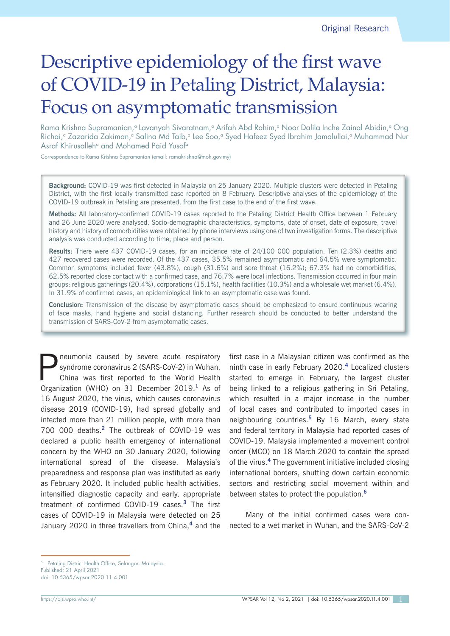# Descriptive epidemiology of the first wave of COVID-19 in Petaling District, Malaysia: Focus on asymptomatic transmission

Rama Krishna Supramanian,<sup>a</sup> Lavanyah Sivaratnam,<sup>a</sup> Arifah Abd Rahim,<sup>a</sup> Noor Dalila Inche Zainal Abidin,<sup>a</sup> Ong Richai,<sup>a</sup> Zazarida Zakiman,<sup>a</sup> Salina Md Taib,<sup>a</sup> Lee Soo,<sup>a</sup> Syed Hafeez Syed Ibrahim Jamalullai,<sup>a</sup> Muhammad Nur Asraf Khirusalleh<sup>a</sup> and Mohamed Paid Yusof<sup>a</sup>

Correspondence to Rama Krishna Supramanian (email: ramakrishna@moh.gov.my)

**Background:** COVID-19 was first detected in Malaysia on 25 January 2020. Multiple clusters were detected in Petaling District, with the first locally transmitted case reported on 8 February. Descriptive analyses of the epidemiology of the COVID-19 outbreak in Petaling are presented, from the first case to the end of the first wave.

**Methods:** All laboratory-confirmed COVID-19 cases reported to the Petaling District Health Office between 1 February and 26 June 2020 were analysed. Socio-demographic characteristics, symptoms, date of onset, date of exposure, travel history and history of comorbidities were obtained by phone interviews using one of two investigation forms. The descriptive analysis was conducted according to time, place and person.

**Results:** There were 437 COVID-19 cases, for an incidence rate of 24/100 000 population. Ten (2.3%) deaths and 427 recovered cases were recorded. Of the 437 cases, 35.5% remained asymptomatic and 64.5% were symptomatic. Common symptoms included fever (43.8%), cough (31.6%) and sore throat (16.2%); 67.3% had no comorbidities, 62.5% reported close contact with a confirmed case, and 76.7% were local infections. Transmission occurred in four main groups: religious gatherings (20.4%), corporations (15.1%), health facilities (10.3%) and a wholesale wet market (6.4%). In 31.9% of confirmed cases, an epidemiological link to an asymptomatic case was found.

**Conclusion:** Transmission of the disease by asymptomatic cases should be emphasized to ensure continuous wearing of face masks, hand hygiene and social distancing. Further research should be conducted to better understand the transmission of SARS-CoV-2 from asymptomatic cases.

**P** neumonia caused by severe acute respiratory<br>syndrome coronavirus 2 (SARS-CoV-2) in Wuhan,<br>China was first reported to the World Health syndrome coronavirus 2 (SARS-CoV-2) in Wuhan, China was first reported to the World Health Organization (WHO) on 31 December 2019.**<sup>1</sup>** As of 16 August 2020, the virus, which causes coronavirus disease 2019 (COVID-19), had spread globally and infected more than 21 million people, with more than 700 000 deaths.**<sup>2</sup>** The outbreak of COVID-19 was declared a public health emergency of international concern by the WHO on 30 January 2020, following international spread of the disease. Malaysia's preparedness and response plan was instituted as early as February 2020. It included public health activities, intensified diagnostic capacity and early, appropriate treatment of confirmed COVID-19 cases.**<sup>3</sup>** The first cases of COVID-19 in Malaysia were detected on 25 January 2020 in three travellers from China,**<sup>4</sup>** and the

first case in a Malaysian citizen was confirmed as the ninth case in early February 2020.**<sup>4</sup>** Localized clusters started to emerge in February, the largest cluster being linked to a religious gathering in Sri Petaling, which resulted in a major increase in the number of local cases and contributed to imported cases in neighbouring countries.**<sup>5</sup>** By 16 March, every state and federal territory in Malaysia had reported cases of COVID-19. Malaysia implemented a movement control order (MCO) on 18 March 2020 to contain the spread of the virus.**<sup>4</sup>** The government initiative included closing international borders, shutting down certain economic sectors and restricting social movement within and between states to protect the population.**<sup>6</sup>**

Many of the initial confirmed cases were connected to a wet market in Wuhan, and the SARS-CoV-2

<sup>&</sup>lt;sup>a</sup> Petaling District Health Office, Selangor, Malaysia.

Published: 21 April 2021

doi: 10.5365/wpsar.2020.11.4.001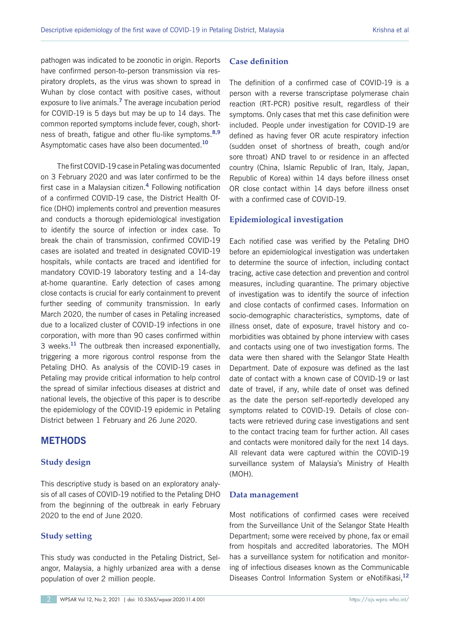pathogen was indicated to be zoonotic in origin. Reports have confirmed person-to-person transmission via respiratory droplets, as the virus was shown to spread in Wuhan by close contact with positive cases, without exposure to live animals.**<sup>7</sup>** The average incubation period for COVID-19 is 5 days but may be up to 14 days. The common reported symptoms include fever, cough, shortness of breath, fatigue and other flu-like symptoms.**8,9** Asymptomatic cases have also been documented.**<sup>10</sup>**

The first COVID-19 case in Petaling was documented on 3 February 2020 and was later confirmed to be the first case in a Malaysian citizen.**<sup>4</sup>** Following notification of a confirmed COVID-19 case, the District Health Office (DHO) implements control and prevention measures and conducts a thorough epidemiological investigation to identify the source of infection or index case. To break the chain of transmission, confirmed COVID-19 cases are isolated and treated in designated COVID-19 hospitals, while contacts are traced and identified for mandatory COVID-19 laboratory testing and a 14-day at-home quarantine. Early detection of cases among close contacts is crucial for early containment to prevent further seeding of community transmission. In early March 2020, the number of cases in Petaling increased due to a localized cluster of COVID-19 infections in one corporation, with more than 90 cases confirmed within 3 weeks.**<sup>11</sup>** The outbreak then increased exponentially, triggering a more rigorous control response from the Petaling DHO. As analysis of the COVID-19 cases in Petaling may provide critical information to help control the spread of similar infectious diseases at district and national levels, the objective of this paper is to describe the epidemiology of the COVID-19 epidemic in Petaling District between 1 February and 26 June 2020.

# **METHODS**

## **Study design**

This descriptive study is based on an exploratory analysis of all cases of COVID-19 notified to the Petaling DHO from the beginning of the outbreak in early February 2020 to the end of June 2020.

## **Study setting**

This study was conducted in the Petaling District, Selangor, Malaysia, a highly urbanized area with a dense population of over 2 million people.

## **Case definition**

The definition of a confirmed case of COVID-19 is a person with a reverse transcriptase polymerase chain reaction (RT-PCR) positive result, regardless of their symptoms. Only cases that met this case definition were included. People under investigation for COVID-19 are defined as having fever OR acute respiratory infection (sudden onset of shortness of breath, cough and/or sore throat) AND travel to or residence in an affected country (China, Islamic Republic of Iran, Italy, Japan, Republic of Korea) within 14 days before illness onset OR close contact within 14 days before illness onset with a confirmed case of COVID-19.

## **Epidemiological investigation**

Each notified case was verified by the Petaling DHO before an epidemiological investigation was undertaken to determine the source of infection, including contact tracing, active case detection and prevention and control measures, including quarantine. The primary objective of investigation was to identify the source of infection and close contacts of confirmed cases. Information on socio-demographic characteristics, symptoms, date of illness onset, date of exposure, travel history and comorbidities was obtained by phone interview with cases and contacts using one of two investigation forms. The data were then shared with the Selangor State Health Department. Date of exposure was defined as the last date of contact with a known case of COVID-19 or last date of travel, if any, while date of onset was defined as the date the person self-reportedly developed any symptoms related to COVID-19. Details of close contacts were retrieved during case investigations and sent to the contact tracing team for further action. All cases and contacts were monitored daily for the next 14 days. All relevant data were captured within the COVID-19 surveillance system of Malaysia's Ministry of Health (MOH).

## **Data management**

Most notifications of confirmed cases were received from the Surveillance Unit of the Selangor State Health Department; some were received by phone, fax or email from hospitals and accredited laboratories. The MOH has a surveillance system for notification and monitoring of infectious diseases known as the Communicable Diseases Control Information System or eNotifikasi,**<sup>12</sup>**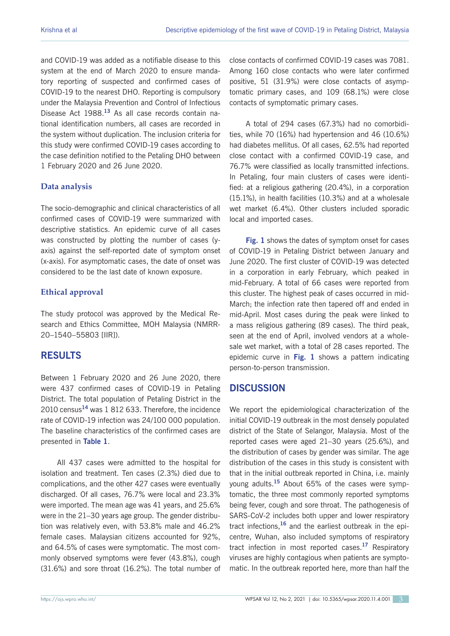and COVID-19 was added as a notifiable disease to this system at the end of March 2020 to ensure mandatory reporting of suspected and confirmed cases of COVID-19 to the nearest DHO. Reporting is compulsory under the Malaysia Prevention and Control of Infectious Disease Act 1988.**<sup>13</sup>** As all case records contain national identification numbers, all cases are recorded in the system without duplication. The inclusion criteria for this study were confirmed COVID-19 cases according to the case definition notified to the Petaling DHO between 1 February 2020 and 26 June 2020.

## **Data analysis**

The socio-demographic and clinical characteristics of all confirmed cases of COVID-19 were summarized with descriptive statistics. An epidemic curve of all cases was constructed by plotting the number of cases (yaxis) against the self-reported date of symptom onset (x-axis). For asymptomatic cases, the date of onset was considered to be the last date of known exposure.

## **Ethical approval**

The study protocol was approved by the Medical Research and Ethics Committee, MOH Malaysia (NMRR-20–1540–55803 [IIR]).

# **RESULTS**

Between 1 February 2020 and 26 June 2020, there were 437 confirmed cases of COVID-19 in Petaling District. The total population of Petaling District in the 2010 census**<sup>14</sup>** was 1 812 633. Therefore, the incidence rate of COVID-19 infection was 24/100 000 population. The baseline characteristics of the confirmed cases are presented in **Table 1**.

All 437 cases were admitted to the hospital for isolation and treatment. Ten cases (2.3%) died due to complications, and the other 427 cases were eventually discharged. Of all cases, 76.7% were local and 23.3% were imported. The mean age was 41 years, and 25.6% were in the 21–30 years age group. The gender distribution was relatively even, with 53.8% male and 46.2% female cases. Malaysian citizens accounted for 92%, and 64.5% of cases were symptomatic. The most commonly observed symptoms were fever (43.8%), cough (31.6%) and sore throat (16.2%). The total number of close contacts of confirmed COVID-19 cases was 7081. Among 160 close contacts who were later confirmed positive, 51 (31.9%) were close contacts of asymptomatic primary cases, and 109 (68.1%) were close contacts of symptomatic primary cases.

A total of 294 cases (67.3%) had no comorbidities, while 70 (16%) had hypertension and 46 (10.6%) had diabetes mellitus. Of all cases, 62.5% had reported close contact with a confirmed COVID-19 case, and 76.7% were classified as locally transmitted infections. In Petaling, four main clusters of cases were identified: at a religious gathering (20.4%), in a corporation (15.1%), in health facilities (10.3%) and at a wholesale wet market (6.4%). Other clusters included sporadic local and imported cases.

**Fig. 1** shows the dates of symptom onset for cases of COVID-19 in Petaling District between January and June 2020. The first cluster of COVID-19 was detected in a corporation in early February, which peaked in mid-February. A total of 66 cases were reported from this cluster. The highest peak of cases occurred in mid-March; the infection rate then tapered off and ended in mid-April. Most cases during the peak were linked to a mass religious gathering (89 cases). The third peak, seen at the end of April, involved vendors at a wholesale wet market, with a total of 28 cases reported. The epidemic curve in **Fig. 1** shows a pattern indicating person-to-person transmission.

# **DISCUSSION**

We report the epidemiological characterization of the initial COVID-19 outbreak in the most densely populated district of the State of Selangor, Malaysia. Most of the reported cases were aged 21–30 years (25.6%), and the distribution of cases by gender was similar. The age distribution of the cases in this study is consistent with that in the initial outbreak reported in China, i.e. mainly young adults.**<sup>15</sup>** About 65% of the cases were symptomatic, the three most commonly reported symptoms being fever, cough and sore throat. The pathogenesis of SARS-CoV-2 includes both upper and lower respiratory tract infections,**<sup>16</sup>** and the earliest outbreak in the epicentre, Wuhan, also included symptoms of respiratory tract infection in most reported cases.**<sup>17</sup>** Respiratory viruses are highly contagious when patients are symptomatic. In the outbreak reported here, more than half the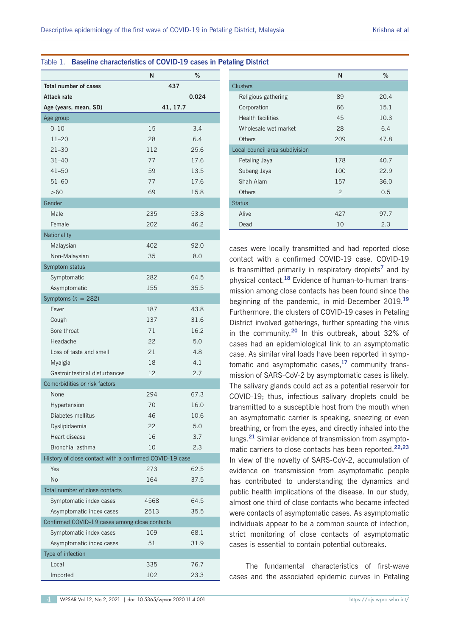Table 1. **Baseline characteristics of COVID-19 cases in Petaling District**

# **N % Total number of cases 437 Attack rate 0.024 Age (years, mean, SD) 41, 17.7** Age group 0–10 15 3.4 11–20 28 6.4 21–30 112 25.6 31–40 77 17.6 41–50 59 13.5 51–60 77 17.6 >60 69 15.8 Gender Male 235 53.8 Female 202 46.2 **Nationality** Malaysian 402 92.0 Non-Malaysian 35 8.0 Symptom status Symptomatic 282 64.5 Asymptomatic 155 35.5 Symptoms (*n* = 282) Fever 187 43.8 Cough 137 31.6 Sore throat 71 16.2 Headache 22 5.0 Loss of taste and smell 21 4.8 Myalgia 18 4.1 Gastrointestinal disturbances 12 2.7 Comorbidities or risk factors None 294 67.3 Hypertension 70 16.0 Diabetes mellitus 10.6 Dyslipidaemia 22 5.0 Heart disease 16 3.7 Bronchial asthma 10 2.3 History of close contact with a confirmed COVID-19 case Yes 273 62.5 No 164 37.5 Total number of close contacts Symptomatic index cases 4568 64.5 Asymptomatic index cases  $2513$  35.5 Confirmed COVID-19 cases among close contacts Symptomatic index cases 109 68.1 Asymptomatic index cases 51 51 31.9 Type of infection Local 335 76.7 Imported 102 23.3

# **N % Clusters** Religious gathering 89 20.4 Corporation 66 15.1 Health facilities 10.3 Wholesale wet market 28 6.4 Others 209 47.8 Local council area subdivision Petaling Jaya 178 40.7 Subang Jaya 100 22.9 Shah Alam 157 36.0 Others 2 0.5 Status Alive 97.7 Dead 2.3

cases were locally transmitted and had reported close contact with a confirmed COVID-19 case. COVID-19 is transmitted primarily in respiratory droplets**<sup>7</sup>** and by physical contact.**<sup>18</sup>** Evidence of human-to-human transmission among close contacts has been found since the beginning of the pandemic, in mid-December 2019.**<sup>19</sup>** Furthermore, the clusters of COVID-19 cases in Petaling District involved gatherings, further spreading the virus in the community.**<sup>20</sup>** In this outbreak, about 32% of cases had an epidemiological link to an asymptomatic case. As similar viral loads have been reported in symptomatic and asymptomatic cases,**<sup>17</sup>** community transmission of SARS-CoV-2 by asymptomatic cases is likely. The salivary glands could act as a potential reservoir for COVID-19; thus, infectious salivary droplets could be transmitted to a susceptible host from the mouth when an asymptomatic carrier is speaking, sneezing or even breathing, or from the eyes, and directly inhaled into the lungs.**<sup>21</sup>** Similar evidence of transmission from asymptomatic carriers to close contacts has been reported.**22,23** In view of the novelty of SARS-CoV-2, accumulation of evidence on transmission from asymptomatic people has contributed to understanding the dynamics and public health implications of the disease. In our study, almost one third of close contacts who became infected were contacts of asymptomatic cases. As asymptomatic individuals appear to be a common source of infection, strict monitoring of close contacts of asymptomatic cases is essential to contain potential outbreaks.

The fundamental characteristics of first-wave cases and the associated epidemic curves in Petaling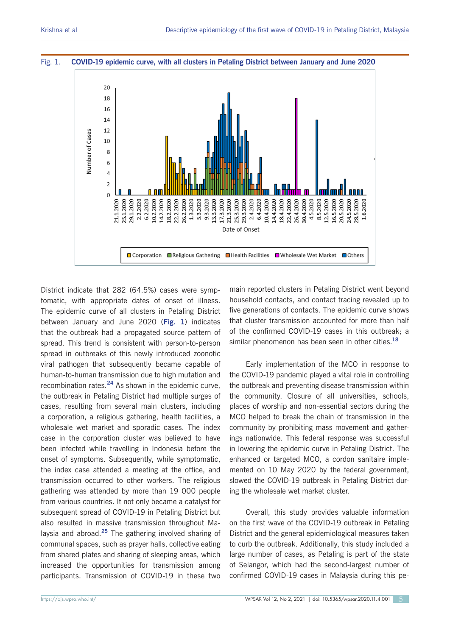#### Fig. 1. **COVID-19 epidemic curve, with all clusters in Petaling District between January and June 2020**



District indicate that 282 (64.5%) cases were symptomatic, with appropriate dates of onset of illness. The epidemic curve of all clusters in Petaling District between January and June 2020 (**Fig. 1**) indicates that the outbreak had a propagated source pattern of spread. This trend is consistent with person-to-person spread in outbreaks of this newly introduced zoonotic viral pathogen that subsequently became capable of human-to-human transmission due to high mutation and recombination rates.**<sup>24</sup>** As shown in the epidemic curve, the outbreak in Petaling District had multiple surges of cases, resulting from several main clusters, including a corporation, a religious gathering, health facilities, a wholesale wet market and sporadic cases. The index case in the corporation cluster was believed to have been infected while travelling in Indonesia before the onset of symptoms. Subsequently, while symptomatic, the index case attended a meeting at the office, and transmission occurred to other workers. The religious gathering was attended by more than 19 000 people from various countries. It not only became a catalyst for subsequent spread of COVID-19 in Petaling District but also resulted in massive transmission throughout Malaysia and abroad.**<sup>25</sup>** The gathering involved sharing of communal spaces, such as prayer halls, collective eating from shared plates and sharing of sleeping areas, which increased the opportunities for transmission among participants. Transmission of COVID-19 in these two

main reported clusters in Petaling District went beyond household contacts, and contact tracing revealed up to five generations of contacts. The epidemic curve shows that cluster transmission accounted for more than half of the confirmed COVID-19 cases in this outbreak; a similar phenomenon has been seen in other cities.**<sup>18</sup>**

Early implementation of the MCO in response to the COVID-19 pandemic played a vital role in controlling the outbreak and preventing disease transmission within the community. Closure of all universities, schools, places of worship and non-essential sectors during the MCO helped to break the chain of transmission in the community by prohibiting mass movement and gatherings nationwide. This federal response was successful in lowering the epidemic curve in Petaling District. The enhanced or targeted MCO, a cordon sanitaire implemented on 10 May 2020 by the federal government, slowed the COVID-19 outbreak in Petaling District during the wholesale wet market cluster.

Overall, this study provides valuable information on the first wave of the COVID-19 outbreak in Petaling District and the general epidemiological measures taken to curb the outbreak. Additionally, this study included a large number of cases, as Petaling is part of the state of Selangor, which had the second-largest number of confirmed COVID-19 cases in Malaysia during this pe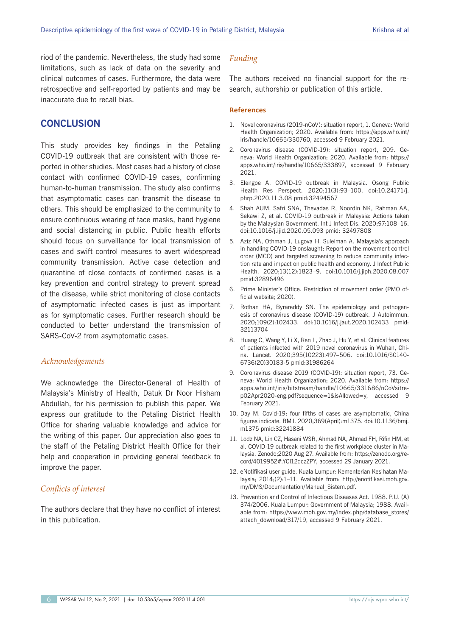riod of the pandemic. Nevertheless, the study had some limitations, such as lack of data on the severity and clinical outcomes of cases. Furthermore, the data were retrospective and self-reported by patients and may be inaccurate due to recall bias.

## **CONCLUSION**

This study provides key findings in the Petaling COVID-19 outbreak that are consistent with those reported in other studies. Most cases had a history of close contact with confirmed COVID-19 cases, confirming human-to-human transmission. The study also confirms that asymptomatic cases can transmit the disease to others. This should be emphasized to the community to ensure continuous wearing of face masks, hand hygiene and social distancing in public. Public health efforts should focus on surveillance for local transmission of cases and swift control measures to avert widespread community transmission. Active case detection and quarantine of close contacts of confirmed cases is a key prevention and control strategy to prevent spread of the disease, while strict monitoring of close contacts of asymptomatic infected cases is just as important as for symptomatic cases. Further research should be conducted to better understand the transmission of SARS-CoV-2 from asymptomatic cases.

#### *Acknowledgements*

We acknowledge the Director-General of Health of Malaysia's Ministry of Health, Datuk Dr Noor Hisham Abdullah, for his permission to publish this paper. We express our gratitude to the Petaling District Health Office for sharing valuable knowledge and advice for the writing of this paper. Our appreciation also goes to the staff of the Petaling District Health Office for their help and cooperation in providing general feedback to improve the paper.

## *Conflicts of interest*

The authors declare that they have no conflict of interest in this publication.

#### *Funding*

The authors received no financial support for the research, authorship or publication of this article.

#### **References**

- 1. Novel coronavirus (2019-nCoV): situation report, 1. Geneva: World Health Organization; 2020. Available from: https://apps.who.int/ iris/handle/10665/330760, accessed 9 February 2021.
- 2. Coronavirus disease (COVID-19): situation report, 209. Geneva: World Health Organization; 2020. Available from: https:// apps.who.int/iris/handle/10665/333897, accessed 9 February 2021.
- 3. Elengoe A. COVID-19 outbreak in Malaysia. Osong Public Health Res Perspect. 2020;11(3):93–100. doi:10.24171/j. phrp.2020.11.3.08 pmid:32494567
- 4. Shah AUM, Safri SNA, Thevadas R, Noordin NK, Rahman AA, Sekawi Z, et al. COVID-19 outbreak in Malaysia: Actions taken by the Malaysian Government. Int J Infect Dis. 2020;97:108–16. doi:10.1016/j.ijid.2020.05.093 pmid: 32497808
- 5. Aziz NA, Othman J, Lugova H, Suleiman A. Malaysia's approach in handling COVID-19 onslaught: Report on the movement control order (MCO) and targeted screening to reduce community infection rate and impact on public health and economy. J Infect Public Health. 2020;13(12):1823–9. doi:10.1016/j.jiph.2020.08.007 pmid:32896496
- 6. Prime Minister's Office. Restriction of movement order (PMO official website; 2020).
- 7. Rothan HA, Byrareddy SN. The epidemiology and pathogenesis of coronavirus disease (COVID-19) outbreak. J Autoimmun. 2020;109(2):102433. doi:10.1016/j.jaut.2020.102433 pmid: 32113704
- 8. Huang C, Wang Y, Li X, Ren L, Zhao J, Hu Y, et al. Clinical features of patients infected with 2019 novel coronavirus in Wuhan, China. Lancet. 2020;395(10223):497–506. doi:10.1016/S0140- 6736(20)30183-5 pmid:31986264
- 9. Coronavirus disease 2019 (COVID-19): situation report, 73. Geneva: World Health Organization; 2020. Available from: https:// apps.who.int/iris/bitstream/handle/10665/331686/nCoVsitrep02Apr2020-eng.pdf?sequence=1&isAllowed=y, accessed 9 February 2021.
- 10. Day M. Covid-19: four fifths of cases are asymptomatic, China figures indicate. BMJ. 2020;369(April):m1375. doi:10.1136/bmj. m1375 pmid:32241884
- 11. Lodz NA, Lin CZ, Hasani WSR, Ahmad NA, Ahmad FH, Rifin HM, et al. COVID-19 outbreak related to the first workplace cluster in Malaysia. Zenodo;2020 Aug 27. Available from: https://zenodo.org/record/4019952#.YCI12qczZPY, accessed 29 January 2021.
- 12. eNotifikasi user guide. Kuala Lumpur: Kementerian Kesihatan Malaysia; 2014;(2):1–11. Available from: http://enotifikasi.moh.gov. my/DMS/Documentation/Manual\_Sistem.pdf.
- 13. Prevention and Control of Infectious Diseases Act. 1988. P.U. (A) 374/2006. Kuala Lumpur: Government of Malaysia; 1988. Available from: https://www.moh.gov.my/index.php/database\_stores/ attach\_download/317/19, accessed 9 February 2021.